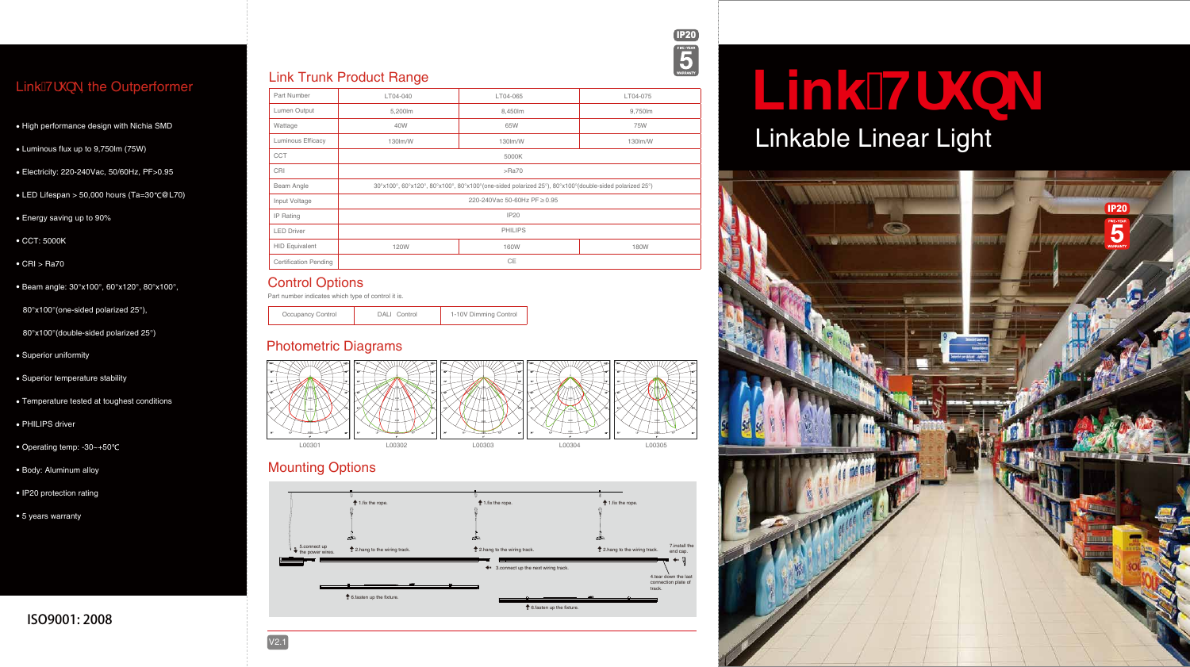# Link<del>TI</del> 0 Linkable Linear Light

| Part Number                  | LV04-040                                                                                              | LV04-065 | LV04-075 |
|------------------------------|-------------------------------------------------------------------------------------------------------|----------|----------|
| Lumen Output                 | 5,200lm                                                                                               | 8,450lm  | 9,750lm  |
| Wattage                      | 40W                                                                                                   | 65W      | 75W      |
| Luminous Efficacy            | 130lm/W                                                                                               | 130lm/W  | 130lm/W  |
| <b>CCT</b>                   | 5000K                                                                                                 |          |          |
| CRI                          | $>$ Ra $70$                                                                                           |          |          |
| Beam Angle                   | 30°x100°, 60°x120°, 80°x100°, 80°x100°(one-sided polarized 25°), 80°x100°(double-sided polarized 25°) |          |          |
| Input Voltage                | 220-240Vac 50-60Hz PF≥0.95                                                                            |          |          |
| IP Rating                    | <b>IP20</b>                                                                                           |          |          |
| <b>LED Driver</b>            | <b>PHILIPS</b>                                                                                        |          |          |
| <b>HID Equivalent</b>        | 120W                                                                                                  | 160W     | 180W     |
| <b>Certification Pending</b> | CE                                                                                                    |          |          |



## Link $\acute{A}$ ',  $\ }$  \, the Outperformer





- Superior uniformity
- Superior temperature stability
- Temperature tested at toughest conditions •
- PHILIPS driver
- Operating temp: -30~+50
- Body: Aluminum alloy
- IP20 protection rating
- 5 years warranty

### Šą \ Á/¦\* } \ Product Range

- High performance design with Nichia SMD
- Luminous flux up to 9,750lm (75W)
- Electricity: 220-240Vac, 50/60Hz, PF>0.95
- LED Lifespan > 50,000 hours (Ta=30 @L70)
- Energy saving up to 90%
- CCT: 5000K
- CRI > Ra70
- Beam angle: 30°x100°, 60°x120°, 80°x100°,

| Occupancy Control | DALI Control | 1-10V Dimming Control |
|-------------------|--------------|-----------------------|
|-------------------|--------------|-----------------------|

80°x100°(double-sided polarized 25°)

80°x100°(one-sided polarized 25°),